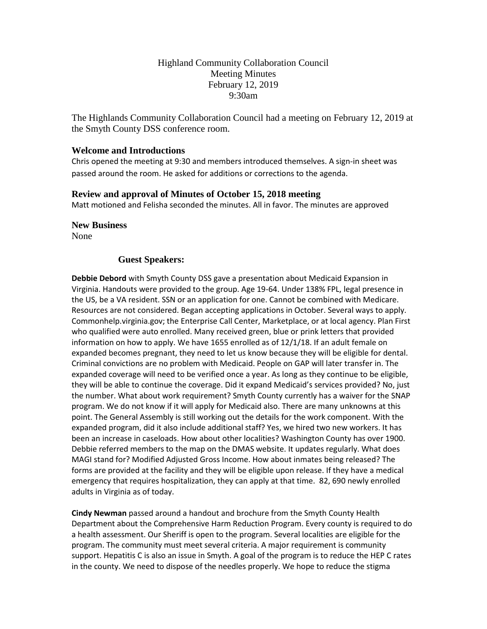# Highland Community Collaboration Council Meeting Minutes February 12, 2019 9:30am

The Highlands Community Collaboration Council had a meeting on February 12, 2019 at the Smyth County DSS conference room.

## **Welcome and Introductions**

Chris opened the meeting at 9:30 and members introduced themselves. A sign-in sheet was passed around the room. He asked for additions or corrections to the agenda.

## **Review and approval of Minutes of October 15, 2018 meeting**

Matt motioned and Felisha seconded the minutes. All in favor. The minutes are approved

**New Business**

None

## **Guest Speakers:**

**Debbie Debord** with Smyth County DSS gave a presentation about Medicaid Expansion in Virginia. Handouts were provided to the group. Age 19-64. Under 138% FPL, legal presence in the US, be a VA resident. SSN or an application for one. Cannot be combined with Medicare. Resources are not considered. Began accepting applications in October. Several ways to apply. Commonhelp.virginia.gov; the Enterprise Call Center, Marketplace, or at local agency. Plan First who qualified were auto enrolled. Many received green, blue or prink letters that provided information on how to apply. We have 1655 enrolled as of 12/1/18. If an adult female on expanded becomes pregnant, they need to let us know because they will be eligible for dental. Criminal convictions are no problem with Medicaid. People on GAP will later transfer in. The expanded coverage will need to be verified once a year. As long as they continue to be eligible, they will be able to continue the coverage. Did it expand Medicaid's services provided? No, just the number. What about work requirement? Smyth County currently has a waiver for the SNAP program. We do not know if it will apply for Medicaid also. There are many unknowns at this point. The General Assembly is still working out the details for the work component. With the expanded program, did it also include additional staff? Yes, we hired two new workers. It has been an increase in caseloads. How about other localities? Washington County has over 1900. Debbie referred members to the map on the DMAS website. It updates regularly. What does MAGI stand for? Modified Adjusted Gross Income. How about inmates being released? The forms are provided at the facility and they will be eligible upon release. If they have a medical emergency that requires hospitalization, they can apply at that time. 82, 690 newly enrolled adults in Virginia as of today.

**Cindy Newman** passed around a handout and brochure from the Smyth County Health Department about the Comprehensive Harm Reduction Program. Every county is required to do a health assessment. Our Sheriff is open to the program. Several localities are eligible for the program. The community must meet several criteria. A major requirement is community support. Hepatitis C is also an issue in Smyth. A goal of the program is to reduce the HEP C rates in the county. We need to dispose of the needles properly. We hope to reduce the stigma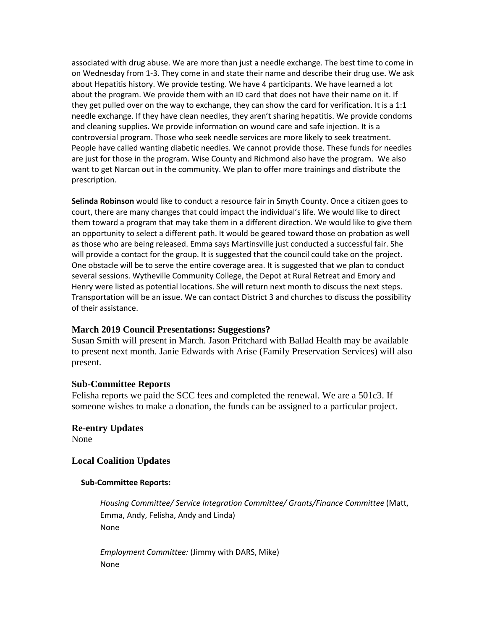associated with drug abuse. We are more than just a needle exchange. The best time to come in on Wednesday from 1-3. They come in and state their name and describe their drug use. We ask about Hepatitis history. We provide testing. We have 4 participants. We have learned a lot about the program. We provide them with an ID card that does not have their name on it. If they get pulled over on the way to exchange, they can show the card for verification. It is a 1:1 needle exchange. If they have clean needles, they aren't sharing hepatitis. We provide condoms and cleaning supplies. We provide information on wound care and safe injection. It is a controversial program. Those who seek needle services are more likely to seek treatment. People have called wanting diabetic needles. We cannot provide those. These funds for needles are just for those in the program. Wise County and Richmond also have the program. We also want to get Narcan out in the community. We plan to offer more trainings and distribute the prescription.

**Selinda Robinson** would like to conduct a resource fair in Smyth County. Once a citizen goes to court, there are many changes that could impact the individual's life. We would like to direct them toward a program that may take them in a different direction. We would like to give them an opportunity to select a different path. It would be geared toward those on probation as well as those who are being released. Emma says Martinsville just conducted a successful fair. She will provide a contact for the group. It is suggested that the council could take on the project. One obstacle will be to serve the entire coverage area. It is suggested that we plan to conduct several sessions. Wytheville Community College, the Depot at Rural Retreat and Emory and Henry were listed as potential locations. She will return next month to discuss the next steps. Transportation will be an issue. We can contact District 3 and churches to discuss the possibility of their assistance.

#### **March 2019 Council Presentations: Suggestions?**

Susan Smith will present in March. Jason Pritchard with Ballad Health may be available to present next month. Janie Edwards with Arise (Family Preservation Services) will also present.

#### **Sub-Committee Reports**

Felisha reports we paid the SCC fees and completed the renewal. We are a 501c3. If someone wishes to make a donation, the funds can be assigned to a particular project.

# **Re-entry Updates**

None

# **Local Coalition Updates**

#### **Sub-Committee Reports:**

*Housing Committee/ Service Integration Committee/ Grants/Finance Committee* (Matt, Emma, Andy, Felisha, Andy and Linda) None

*Employment Committee:* (Jimmy with DARS, Mike) None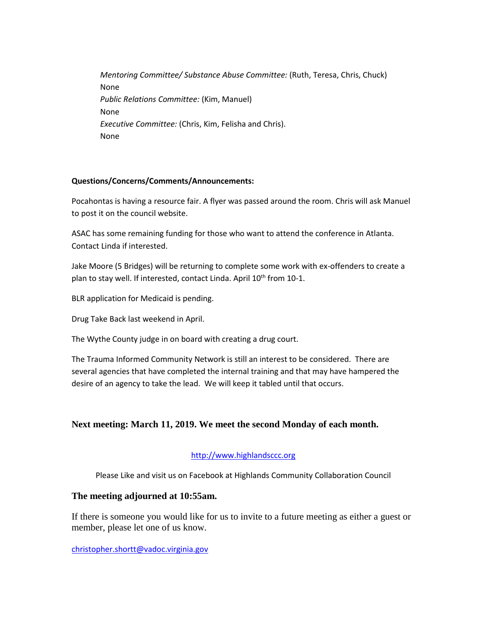*Mentoring Committee/ Substance Abuse Committee:* (Ruth, Teresa, Chris, Chuck) None *Public Relations Committee:* (Kim, Manuel) None *Executive Committee:* (Chris, Kim, Felisha and Chris). None

## **Questions/Concerns/Comments/Announcements:**

Pocahontas is having a resource fair. A flyer was passed around the room. Chris will ask Manuel to post it on the council website.

ASAC has some remaining funding for those who want to attend the conference in Atlanta. Contact Linda if interested.

Jake Moore (5 Bridges) will be returning to complete some work with ex-offenders to create a plan to stay well. If interested, contact Linda. April 10<sup>th</sup> from 10-1.

BLR application for Medicaid is pending.

Drug Take Back last weekend in April.

The Wythe County judge in on board with creating a drug court.

The Trauma Informed Community Network is still an interest to be considered. There are several agencies that have completed the internal training and that may have hampered the desire of an agency to take the lead. We will keep it tabled until that occurs.

# **Next meeting: March 11, 2019. We meet the second Monday of each month.**

#### [http://www.highlandsccc.org](http://www.highlandsccc.org/)

Please Like and visit us on Facebook at Highlands Community Collaboration Council

# **The meeting adjourned at 10:55am.**

If there is someone you would like for us to invite to a future meeting as either a guest or member, please let one of us know.

[christopher.shortt@vadoc.virginia.gov](mailto:christopher.shortt@vadoc.virginia.gov)